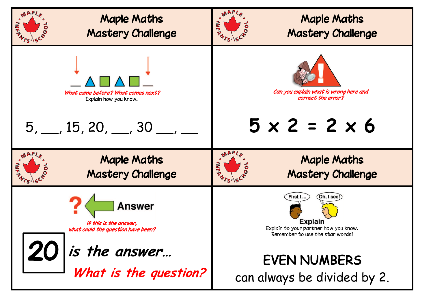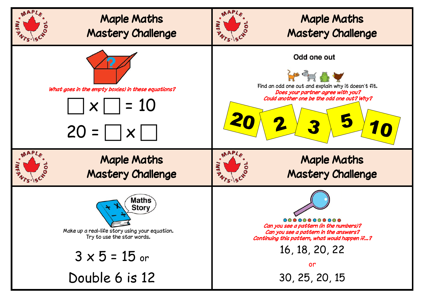